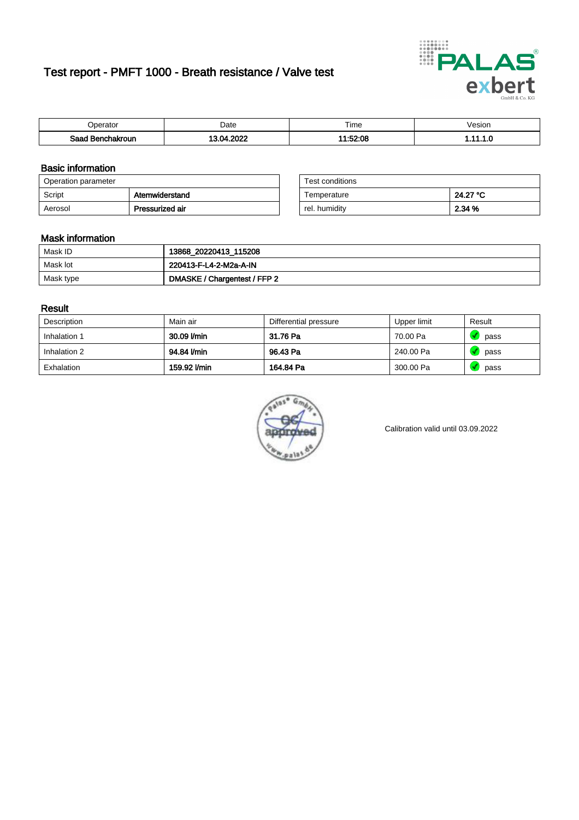# Test report - PMFT 1000 - Breath resistance / Valve test



| )perator               | Date               | $- \cdot$<br>Гіmе | esion |
|------------------------|--------------------|-------------------|-------|
| המס<br>hakroun<br>32 H | 2022<br>n/<br>'UZ. | 1:52:08           | .     |

### Basic information

| Operation parameter |                 | Test conditions |          |
|---------------------|-----------------|-----------------|----------|
| Script              | Atemwiderstand  | Temperature     | 24.27 °C |
| Aerosol             | Pressurized air | rel. humidity   | 2.34 %   |

| Test conditions |          |
|-----------------|----------|
| Temperature     | 24.27 °C |
| rel. humidity   | 2.34 %   |

#### Mask information

| Mask ID   | 13868_20220413_115208        |
|-----------|------------------------------|
| Mask lot  | 220413-F-L4-2-M2a-A-IN       |
| Mask type | DMASKE / Chargentest / FFP 2 |

### Result

| Description  | Main air     | Differential pressure | Upper limit | Result |
|--------------|--------------|-----------------------|-------------|--------|
| Inhalation 1 | 30.09 l/min  | 31.76 Pa              | 70.00 Pa    | pass   |
| Inhalation 2 | 94.84 l/min  | 96.43 Pa              | 240.00 Pa   | pass   |
| Exhalation   | 159.92 l/min | 164.84 Pa             | 300.00 Pa   | pass   |



Calibration valid until 03.09.2022